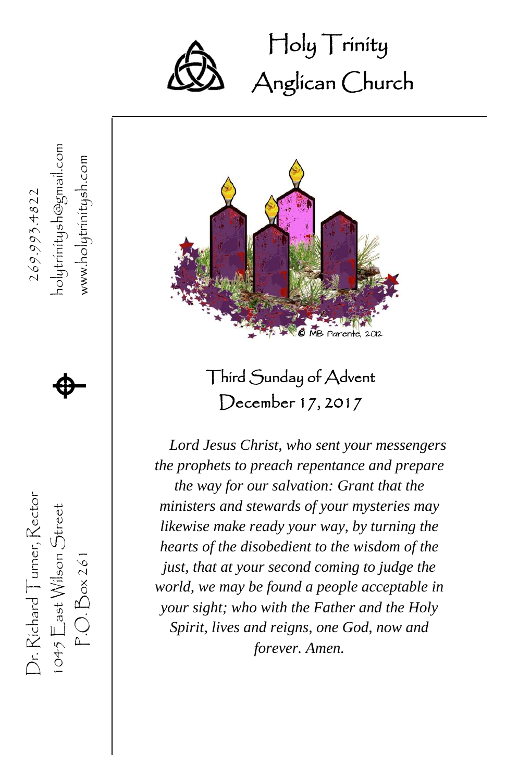

 Holy Trinity Ĩ Anglican Church





Third Sunday of Advent December 17, 2017

*Lord Jesus Christ, who sent your messengers the prophets to preach repentance and prepare the way for our salvation: Grant that the ministers and stewards of your mysteries may likewise make ready your way, by turning the hearts of the disobedient to the wisdom of the just, that at your second coming to judge the world, we may be found a people acceptable in your sight; who with the Father and the Holy Spirit, lives and reigns, one God, now and forever. Amen.*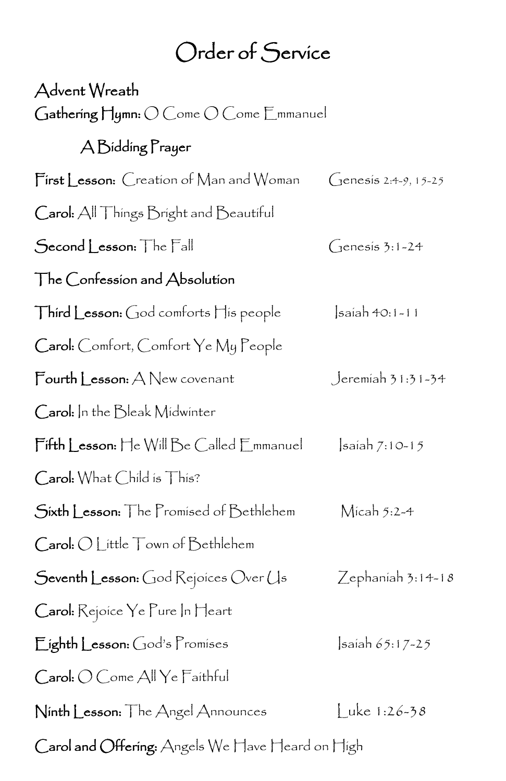## Order of Service

| Advent Wreath                                    |                         |
|--------------------------------------------------|-------------------------|
| Gathering Hymn: O Come O Come Emmanuel           |                         |
| A Bidding Prayer                                 |                         |
| First Lesson: Creation of Man and Woman          | $C$ enesis 2:4-9, 15-25 |
| Carol: All Things Bright and Beautiful           |                         |
| Second Lesson: The Fall                          | $C$ enesis 3:1-24       |
| The Confession and Absolution                    |                         |
| Third Lesson: God comforts His people            | saiah 40:1-11           |
| Carol: Comfort, Comfort Ye My People             |                         |
| Fourth Lesson: A New covenant                    | Jeremiah 31:31-34       |
| Carol: In the Bleak Midwinter                    |                         |
| Fifth Lesson: He Will Be Called Emmanuel         | $ s$ aiah 7:10-15       |
| Carol: What Child is This?                       |                         |
| Sixth Lesson: The Promised of Bethlehem          | $\mathsf{M}$ icah 5:2-4 |
| Carol: O Little Town of Bethlehem                |                         |
| Seventh Lesson: God Rejoices Over Us             | $Z$ ephaniah 3:14-18    |
| Carol: Rejoice Ye Pure In Heart                  |                         |
| Eighth Lesson: God's Promises                    | $\sinh 65:17 - 25$      |
| Carol: O Come All Ye Faithful                    |                         |
| Ninth Lesson: The Angel Announces                | Luke 1:26-38            |
| Carol and Offering: Angels We Have Heard on High |                         |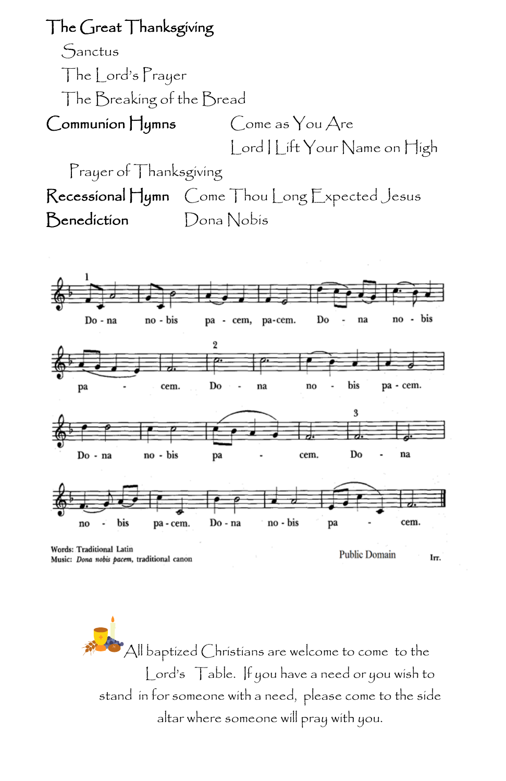The Great Thanksgiving

Sanctus The Lord's Prayer The Breaking of the Bread Communion Hymns Come as You Are Lord | Lift Your Name on High Prayer of Thanksgiving Recessional Hymn Come Thou Long Expected Jesus Benediction Dona Nobis



Music: Dona nobis pacem, traditional canon

**Public Domain** Irr.

 $^{\bullet}$ All baptized Christians are welcome to come to the Lord's Table. If you have a need or you wish to stand in for someone with a need, please come to the side altar where someone will pray with you.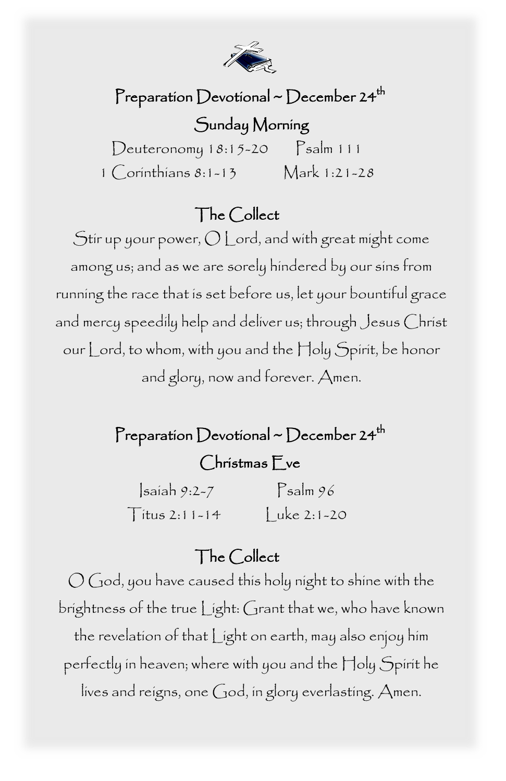

#### Preparation Devotional ~ December 24<sup>th</sup>

#### Sunday Morning

 $Deuteronomy 18:15-20$   $Salm 111$ 1 Corinthians 8:1-13 Mark 1:21-28

#### The Collect

Stir up your power, O Lord, and with great might come among us; and as we are sorely hindered by our sins from running the race that is set before us, let your bountiful grace and mercy speedily help and deliver us; through Jesus Christ our Lord, to whom, with you and the Holy Spirit, be honor and glory, now and forever. Amen.

#### Preparation Devotional ~ December 24<sup>th</sup>

#### Christmas Eve

 $\sinh 9:2-7$  Psalm  $96$  $T$ itus 2:11-14  $|$ uke 2:1-20

#### The Collect

 brightness of the true Light: Grant that we, who have known lives and reigns, one God, in glory everlasting. Amen.<br>. O God, you have caused this holy night to shine with the the revelation of that Light on earth, may also enjoy him perfectly in heaven; where with you and the Holy Spirit he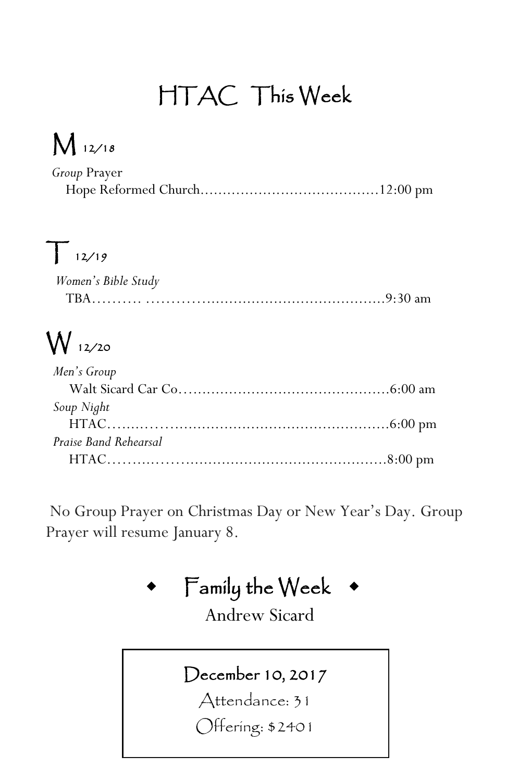## HTAC This Week

# M 12/18

| Group Prayer |  |
|--------------|--|
|              |  |

# $T_{12/19}$

| Women's Bible Study |  |
|---------------------|--|
|                     |  |

# W 12/20

| Men's Group           |
|-----------------------|
|                       |
| Soup Night            |
|                       |
| Praise Band Rehearsal |
|                       |

No Group Prayer on Christmas Day or New Year's Day. Group Prayer will resume January 8.

### Family the Week

Andrew Sicard

#### December 10, 2017

Attendance: 31

Offering: \$2401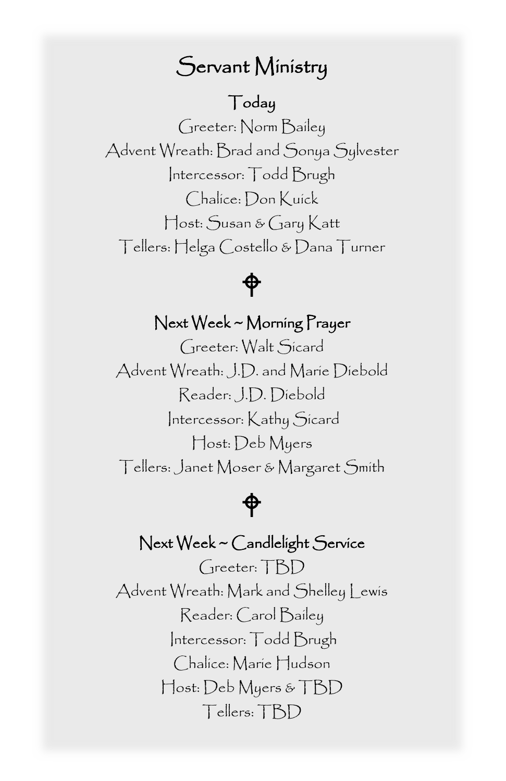### Servant Ministry

#### Today

 Greeter: Norm Bailey Advent Wreath: Brad and Sonya Sylvester Intercessor: Todd Brugh Host: Susan & Gary Katt Chalice: Don Kuick Tellers: Helga Costello & Dana Turner



#### Next Week ~ Morning Prayer

 Reader: J.D. Diebold Host: Deb Myers Greeter: Walt Sicard Advent Wreath: J.D. and Marie Diebold Intercessor: Kathy Sicard Tellers: Janet Moser & Margaret Smith

#### ⊕

#### Next Week ~ Candlelight Service

 Tellers: TBDGreeter: TBD Advent Wreath: Mark and Shelley Lewis Reader: Carol Bailey Intercessor: Todd Brugh Chalice: Marie Hudson Host: Deb Myers & TBD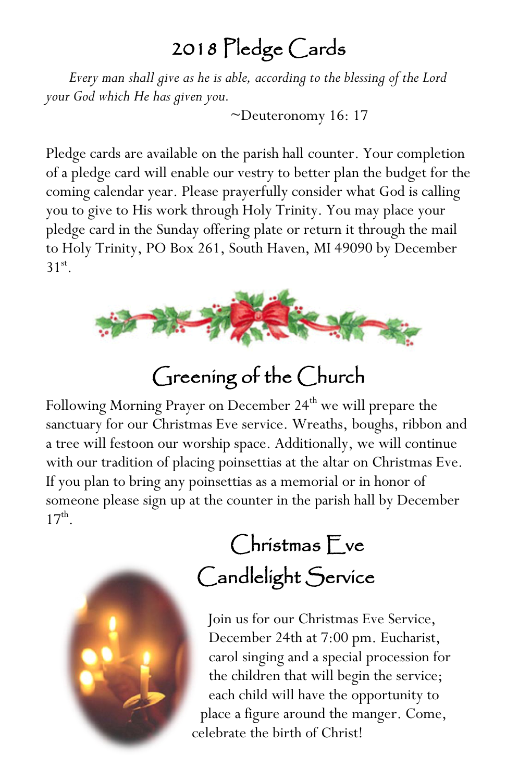### 2018 Pledge Cards

*Every man shall give as he is able, according to the blessing of the Lord your God which He has given you.*

*~*Deuteronomy 16: 17

Pledge cards are available on the parish hall counter. Your completion of a pledge card will enable our vestry to better plan the budget for the coming calendar year. Please prayerfully consider what God is calling you to give to His work through Holy Trinity. You may place your pledge card in the Sunday offering plate or return it through the mail to Holy Trinity, PO Box 261, South Haven, MI 49090 by December  $31<sup>st</sup>$ .



### Greening of the Church

Following Morning Prayer on December 24<sup>th</sup> we will prepare the sanctuary for our Christmas Eve service. Wreaths, boughs, ribbon and a tree will festoon our worship space. Additionally, we will continue with our tradition of placing poinsettias at the altar on Christmas Eve. If you plan to bring any poinsettias as a memorial or in honor of someone please sign up at the counter in the parish hall by December  $17^{\rm th}$ .



## Christmas Eve Candlelight Service

Join us for our Christmas Eve Service, December 24th at 7:00 pm. Eucharist, carol singing and a special procession for the children that will begin the service; each child will have the opportunity to place a figure around the manger. Come, celebrate the birth of Christ!